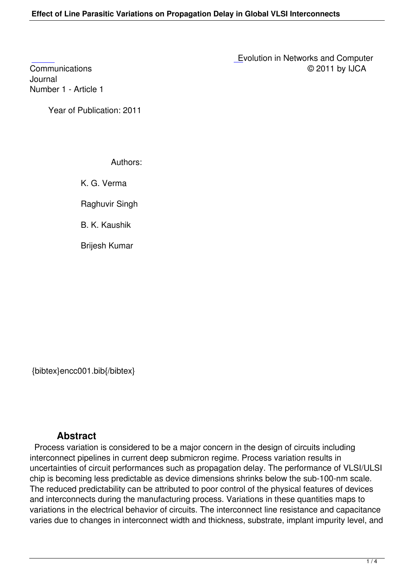Journal [Numbe](http://research.ijcaonline.org/encc/number1/encc001.pdf)r 1 - Article 1

Year of Publication: 2011

## Authors:

K. G. Verma

Raghuvir Singh

B. K. Kaushik

Brijesh Kumar

{bibtex}encc001.bib{/bibtex}

## **Abstract**

 Process variation is considered to be a major concern in the design of circuits including interconnect pipelines in current deep submicron regime. Process variation results in uncertainties of circuit performances such as propagation delay. The performance of VLSI/ULSI chip is becoming less predictable as device dimensions shrinks below the sub-100-nm scale. The reduced predictability can be attributed to poor control of the physical features of devices and interconnects during the manufacturing process. Variations in these quantities maps to variations in the electrical behavior of circuits. The interconnect line resistance and capacitance varies due to changes in interconnect width and thickness, substrate, implant impurity level, and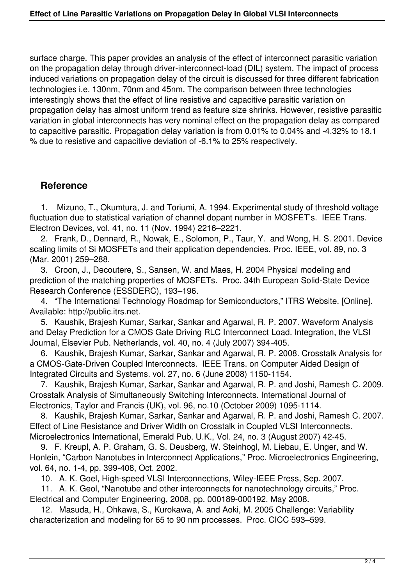surface charge. This paper provides an analysis of the effect of interconnect parasitic variation on the propagation delay through driver-interconnect-load (DIL) system. The impact of process induced variations on propagation delay of the circuit is discussed for three different fabrication technologies i.e. 130nm, 70nm and 45nm. The comparison between three technologies interestingly shows that the effect of line resistive and capacitive parasitic variation on propagation delay has almost uniform trend as feature size shrinks. However, resistive parasitic variation in global interconnects has very nominal effect on the propagation delay as compared to capacitive parasitic. Propagation delay variation is from 0.01% to 0.04% and -4.32% to 18.1 % due to resistive and capacitive deviation of -6.1% to 25% respectively.

## **Reference**

 1. Mizuno, T., Okumtura, J. and Toriumi, A. 1994. Experimental study of threshold voltage fluctuation due to statistical variation of channel dopant number in MOSFET's. IEEE Trans. Electron Devices, vol. 41, no. 11 (Nov. 1994) 2216–2221.

 2. Frank, D., Dennard, R., Nowak, E., Solomon, P., Taur, Y. and Wong, H. S. 2001. Device scaling limits of Si MOSFETs and their application dependencies. Proc. IEEE, vol. 89, no. 3 (Mar. 2001) 259–288.

 3. Croon, J., Decoutere, S., Sansen, W. and Maes, H. 2004 Physical modeling and prediction of the matching properties of MOSFETs. Proc. 34th European Solid-State Device Research Conference (ESSDERC), 193–196.

 4. "The International Technology Roadmap for Semiconductors," ITRS Website. [Online]. Available: http://public.itrs.net.

 5. Kaushik, Brajesh Kumar, Sarkar, Sankar and Agarwal, R. P. 2007. Waveform Analysis and Delay Prediction for a CMOS Gate Driving RLC Interconnect Load. Integration, the VLSI Journal, Elsevier Pub. Netherlands, vol. 40, no. 4 (July 2007) 394-405.

 6. Kaushik, Brajesh Kumar, Sarkar, Sankar and Agarwal, R. P. 2008. Crosstalk Analysis for a CMOS-Gate-Driven Coupled Interconnects. IEEE Trans. on Computer Aided Design of Integrated Circuits and Systems. vol. 27, no. 6 (June 2008) 1150-1154.

 7. Kaushik, Brajesh Kumar, Sarkar, Sankar and Agarwal, R. P. and Joshi, Ramesh C. 2009. Crosstalk Analysis of Simultaneously Switching Interconnects. International Journal of Electronics, Taylor and Francis (UK), vol. 96, no.10 (October 2009) 1095-1114.

 8. Kaushik, Brajesh Kumar, Sarkar, Sankar and Agarwal, R. P. and Joshi, Ramesh C. 2007. Effect of Line Resistance and Driver Width on Crosstalk in Coupled VLSI Interconnects. Microelectronics International, Emerald Pub. U.K., Vol. 24, no. 3 (August 2007) 42-45.

 9. F. Kreupl, A. P. Graham, G. S. Deusberg, W. Steinhogl, M. Liebau, E. Unger, and W. Honlein, "Carbon Nanotubes in Interconnect Applications," Proc. Microelectronics Engineering, vol. 64, no. 1-4, pp. 399-408, Oct. 2002.

10. A. K. Goel, High-speed VLSI Interconnections, Wiley-IEEE Press, Sep. 2007.

 11. A. K. Geol, "Nanotube and other interconnects for nanotechnology circuits," Proc. Electrical and Computer Engineering, 2008, pp. 000189-000192, May 2008.

 12. Masuda, H., Ohkawa, S., Kurokawa, A. and Aoki, M. 2005 Challenge: Variability characterization and modeling for 65 to 90 nm processes. Proc. CICC 593–599.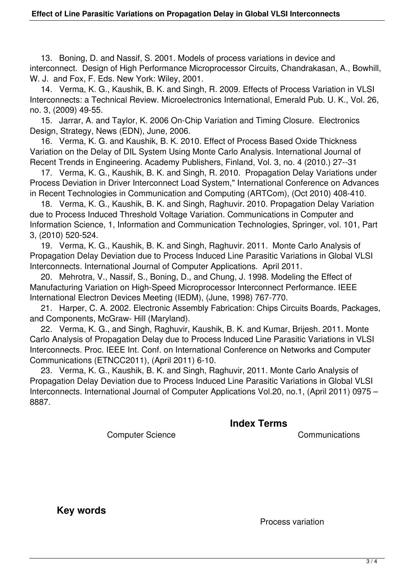13. Boning, D. and Nassif, S. 2001. Models of process variations in device and interconnect. Design of High Performance Microprocessor Circuits, Chandrakasan, A., Bowhill, W. J. and Fox, F. Eds. New York: Wiley, 2001.

 14. Verma, K. G., Kaushik, B. K. and Singh, R. 2009. Effects of Process Variation in VLSI Interconnects: a Technical Review. Microelectronics International, Emerald Pub. U. K., Vol. 26, no. 3, (2009) 49-55.

 15. Jarrar, A. and Taylor, K. 2006 On-Chip Variation and Timing Closure. Electronics Design, Strategy, News (EDN), June, 2006.

 16. Verma, K. G. and Kaushik, B. K. 2010. Effect of Process Based Oxide Thickness Variation on the Delay of DIL System Using Monte Carlo Analysis. International Journal of Recent Trends in Engineering. Academy Publishers, Finland, Vol. 3, no. 4 (2010.) 27--31

 17. Verma, K. G., Kaushik, B. K. and Singh, R. 2010. Propagation Delay Variations under Process Deviation in Driver Interconnect Load System," International Conference on Advances in Recent Technologies in Communication and Computing (ARTCom), (Oct 2010) 408-410.

 18. Verma, K. G., Kaushik, B. K. and Singh, Raghuvir. 2010. Propagation Delay Variation due to Process Induced Threshold Voltage Variation. Communications in Computer and Information Science, 1, Information and Communication Technologies, Springer, vol. 101, Part 3, (2010) 520-524.

 19. Verma, K. G., Kaushik, B. K. and Singh, Raghuvir. 2011. Monte Carlo Analysis of Propagation Delay Deviation due to Process Induced Line Parasitic Variations in Global VLSI Interconnects. International Journal of Computer Applications. April 2011.

 20. Mehrotra, V., Nassif, S., Boning, D., and Chung, J. 1998. Modeling the Effect of Manufacturing Variation on High-Speed Microprocessor Interconnect Performance. IEEE International Electron Devices Meeting (IEDM), (June, 1998) 767-770.

 21. Harper, C. A. 2002. Electronic Assembly Fabrication: Chips Circuits Boards, Packages, and Components, McGraw- Hill (Maryland).

 22. Verma, K. G., and Singh, Raghuvir, Kaushik, B. K. and Kumar, Brijesh. 2011. Monte Carlo Analysis of Propagation Delay due to Process Induced Line Parasitic Variations in VLSI Interconnects. Proc. IEEE Int. Conf. on International Conference on Networks and Computer Communications (ETNCC2011), (April 2011) 6-10.

 23. Verma, K. G., Kaushik, B. K. and Singh, Raghuvir, 2011. Monte Carlo Analysis of Propagation Delay Deviation due to Process Induced Line Parasitic Variations in Global VLSI Interconnects. International Journal of Computer Applications Vol.20, no.1, (April 2011) 0975 – 8887.

**Index Terms** 

Computer Science Communications

 **Key words** 

Process variation